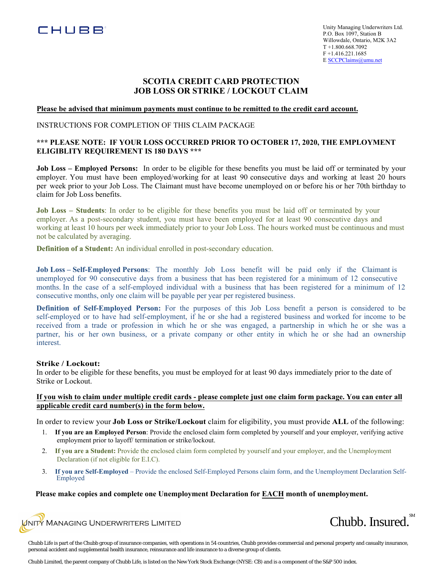

Unity Managing Underwriters Ltd. P.O. Box 1097, Station B Willowdale, Ontario, M2K 3A2 T +1.800.668.7092 F +1.416.221.1685 E SCCPClaims@umu.net

# **SCOTIA CREDIT CARD PROTECTION JOB LOSS OR STRIKE / LOCKOUT CLAIM**

#### **Please be advised that minimum payments must continue to be remitted to the credit card account.**

# INSTRUCTIONS FOR COMPLETION OF THIS CLAIM PACKAGE

# **\*\*\* PLEASE NOTE: IF YOUR LOSS OCCURRED PRIOR TO OCTOBER 17, 2020, THE EMPLOYMENT ELIGIBLITY REQUIREMENT IS 180 DAYS \*\*\***

**Job Loss – Employed Persons:** In order to be eligible for these benefits you must be laid off or terminated by your employer. You must have been employed/working for at least 90 consecutive days and working at least 20 hours per week prior to your Job Loss. The Claimant must have become unemployed on or before his or her 70th birthday to claim for Job Loss benefits.

**Job Loss – Students**: In order to be eligible for these benefits you must be laid off or terminated by your employer. As a post-secondary student, you must have been employed for at least 90 consecutive days and working at least 10 hours per week immediately prior to your Job Loss. The hours worked must be continuous and must not be calculated by averaging.

**Definition of a Student:** An individual enrolled in post-secondary education.

**Job Loss – Self-Employed Persons**: The monthly Job Loss benefit will be paid only if the Claimant is unemployed for 90 consecutive days from a business that has been registered for a minimum of 12 consecutive months. In the case of a self-employed individual with a business that has been registered for a minimum of 12 consecutive months, only one claim will be payable per year per registered business.

**Definition of Self-Employed Person:** For the purposes of this Job Loss benefit a person is considered to be self-employed or to have had self-employment, if he or she had a registered business and worked for income to be received from a trade or profession in which he or she was engaged, a partnership in which he or she was a partner, his or her own business, or a private company or other entity in which he or she had an ownership interest.

### **Strike / Lockout:**

In order to be eligible for these benefits, you must be employed for at least 90 days immediately prior to the date of Strike or Lockout.

### **If you wish to claim under multiple credit cards - please complete just one claim form package. You can enter all applicable credit card number(s) in the form below.**

In order to review your **Job Loss or Strike/Lockout** claim for eligibility, you must provide **ALL** of the following:

- 1. **If you are an Employed Person**: Provide the enclosed claim form completed by yourself and your employer, verifying active employment prior to layoff/ termination or strike/lockout.
- 2. **If you are a Student:** Provide the enclosed claim form completed by yourself and your employer, and the Unemployment Declaration (if not eligible for E.I.C).
- 3. **If you are Self-Employed** Provide the enclosed Self-Employed Persons claim form, and the Unemployment Declaration Self-Employed

# **Please make copies and complete one Unemployment Declaration for EACH month of unemployment.**





Chubb Life is part of the Chubb group of insurance companies, with operations in 54 countries, Chubb provides commercial and personal property and casualty insurance, personal accident and supplemental health insurance, reinsurance and life insurance to a diverse group of clients.

Chubb Limited, the parent company of Chubb Life, is listed on the New York Stock Exchange (NYSE: CB) and is a component of the S&P 500 index.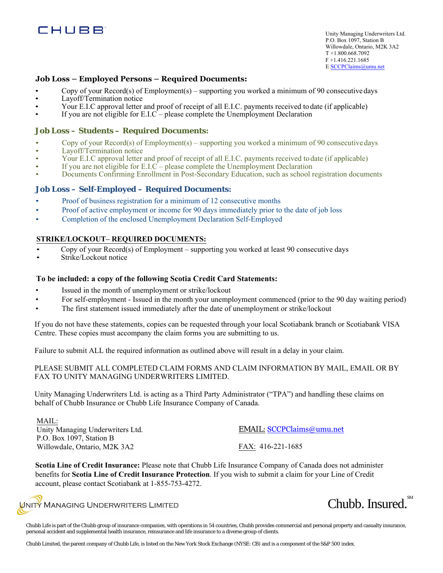

Unity Managing Underwriters Ltd. P.O. Box 1097, Station B Willowdale, Ontario, M2K 3A2 T +1.800.668.7092 F +1.416.221.1685 E SCCPClaims@umu.net

# **Job Loss – Employed Persons – Required Documents:**

- Copy of your Record(s) of Employment(s) supporting you worked a minimum of 90 consecutivedays
- Layoff/Termination notice
- Your E.I.C approval letter and proof of receipt of all E.I.C. payments received to date (if applicable)
- If you are not eligible for  $E.I.C$  please complete the Unemployment Declaration

### **Job Loss – Students – Required Documents:**

- Copy of your Record(s) of Employment(s) supporting you worked a minimum of 90 consecutivedays
- Layoff/Termination notice
- Your E.I.C approval letter and proof of receipt of all E.I.C. payments received todate (if applicable)
- If you are not eligible for  $E.I.C$  please complete the Unemployment Declaration
- Documents Confirming Enrollment in Post-Secondary Education, such as school registration documents

# **Job Loss – Self-Employed – Required Documents:**

- Proof of business registration for a minimum of 12 consecutive months
- Proof of active employment or income for 90 days immediately prior to the date of job loss
- Completion of the enclosed Unemployment Declaration Self-Employed

# **STRIKE/LOCKOUT– REQUIRED DOCUMENTS:**

- Copy of your Record(s) of Employment supporting you worked at least 90 consecutive days
- Strike/Lockout notice

### **To be included: a copy of the following Scotia Credit Card Statements:**

- Issued in the month of unemployment or strike/lockout
- For self-employment Issued in the month your unemployment commenced (prior to the 90 day waiting period)
- The first statement issued immediately after the date of unemployment or strike/lockout

If you do not have these statements, copies can be requested through your local Scotiabank branch or Scotiabank VISA Centre. These copies must accompany the claim forms you are submitting to us.

Failure to submit ALL the required information as outlined above will result in a delay in your claim.

PLEASE SUBMIT ALL COMPLETED CLAIM FORMS AND CLAIM INFORMATION BY MAIL, EMAIL OR BY FAX TO UNITY MANAGING UNDERWRITERS LIMITED.

Unity Managing Underwriters Ltd. is acting as a Third Party Administrator ("TPA") and handling these claims on behalf of Chubb Insurance or Chubb Life Insurance Company of Canada.

MAIL:

Unity Managing Underwriters Ltd. P.O. Box 1097, Station B Willowdale, Ontario, M2K 3A2

EMAIL: [SCCPClaims@umu.net](mailto:SCCPClaims@umu.net) FAX: 416-221-1685

**Scotia Line of Credit Insurance:** Please note that Chubb Life Insurance Company of Canada does not administer benefits for **Scotia Line of Credit Insurance Protection**. If you wish to submit a claim for your Line of Credit account, please contact Scotiabank at 1-855-753-4272.

 $\sqrt{\text{N}^2}$  Managing Underwriters Limited



Chubb Life is part of the Chubb group of insurance companies, with operations in 54 countries, Chubb provides commercial and personal property and casualty insurance, personal accident and supplemental health insurance, reinsurance and life insurance to a diverse group of clients.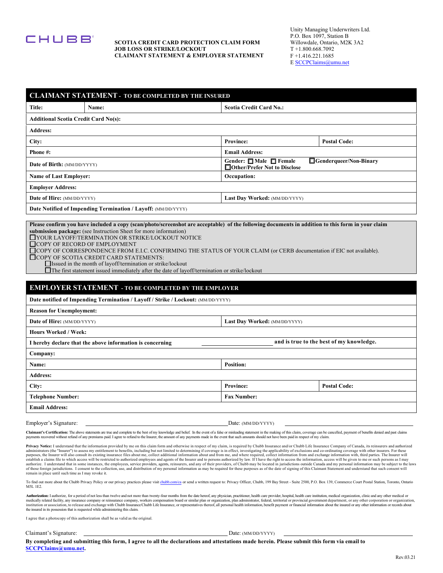

#### **SCOTIA CREDIT CARD PROTECTION CLAIM FORM JOB LOSS OR STRIKE/LOCKOUT CLAIMANT STATEMENT & EMPLOYER STATEMENT**

Unity Managing Underwriters Ltd. P.O. Box 1097, Station B Willowdale, Ontario, M2K 3A2 T +1.800.668.7092 F +1.416.221.1685 E [SCCPClaims@umu.net](mailto:SCCPClaims@umu.net) 

|                                                                                                                                                                                                                                                                                                                                                                                | <b>CLAIMANT STATEMENT - TO BE COMPLETED BY THE INSURED</b>    |                                                                                     |                                          |                     |  |  |
|--------------------------------------------------------------------------------------------------------------------------------------------------------------------------------------------------------------------------------------------------------------------------------------------------------------------------------------------------------------------------------|---------------------------------------------------------------|-------------------------------------------------------------------------------------|------------------------------------------|---------------------|--|--|
| Title:                                                                                                                                                                                                                                                                                                                                                                         | Name:                                                         |                                                                                     | <b>Scotia Credit Card No.:</b>           |                     |  |  |
|                                                                                                                                                                                                                                                                                                                                                                                | <b>Additional Scotia Credit Card No(s):</b>                   |                                                                                     |                                          |                     |  |  |
| <b>Address:</b>                                                                                                                                                                                                                                                                                                                                                                |                                                               |                                                                                     |                                          |                     |  |  |
| City:                                                                                                                                                                                                                                                                                                                                                                          |                                                               | <b>Province:</b>                                                                    | <b>Postal Code:</b>                      |                     |  |  |
| Phone #:                                                                                                                                                                                                                                                                                                                                                                       |                                                               | <b>Email Address:</b>                                                               |                                          |                     |  |  |
| Date of Birth: (MM/DD/YYYY)                                                                                                                                                                                                                                                                                                                                                    |                                                               | Gender: □ Male □ Female<br>Genderqueer/Non-Binary<br>□ Other/Prefer Not to Disclose |                                          |                     |  |  |
| <b>Name of Last Employer:</b>                                                                                                                                                                                                                                                                                                                                                  |                                                               | Occupation:                                                                         |                                          |                     |  |  |
| <b>Employer Address:</b>                                                                                                                                                                                                                                                                                                                                                       |                                                               |                                                                                     |                                          |                     |  |  |
| Date of Hire: (MM/DD/YYYY)                                                                                                                                                                                                                                                                                                                                                     |                                                               | Last Day Worked: (MM/DD/YYYY)                                                       |                                          |                     |  |  |
|                                                                                                                                                                                                                                                                                                                                                                                | Date Notified of Impending Termination / Layoff: (MM/DD/YYYY) |                                                                                     |                                          |                     |  |  |
| $\Box$ COPY OF SCOTIA CREDIT CARD STATEMENTS:<br>$\Box$ Issued in the month of layoff/termination or strike/lockout<br>$\Box$ The first statement issued immediately after the date of layoff/termination or strike/lockout<br><b>EMPLOYER STATEMENT - TO BE COMPLETED BY THE EMPLOYER</b><br>Date notified of Impending Termination / Layoff / Strike / Lockout: (MM/DD/YYYY) |                                                               |                                                                                     |                                          |                     |  |  |
| <b>Reason for Unemployment:</b>                                                                                                                                                                                                                                                                                                                                                |                                                               |                                                                                     |                                          |                     |  |  |
|                                                                                                                                                                                                                                                                                                                                                                                | Date of Hire: (MM/DD/YYYY)<br>Last Day Worked: (MM/DD/YYYY)   |                                                                                     |                                          |                     |  |  |
| <b>Hours Worked / Week:</b>                                                                                                                                                                                                                                                                                                                                                    |                                                               |                                                                                     |                                          |                     |  |  |
|                                                                                                                                                                                                                                                                                                                                                                                | I hereby declare that the above information is concerning     |                                                                                     | and is true to the best of my knowledge. |                     |  |  |
| Company:                                                                                                                                                                                                                                                                                                                                                                       |                                                               |                                                                                     |                                          |                     |  |  |
| Name:                                                                                                                                                                                                                                                                                                                                                                          |                                                               |                                                                                     | <b>Position:</b>                         |                     |  |  |
| <b>Address:</b>                                                                                                                                                                                                                                                                                                                                                                |                                                               |                                                                                     |                                          |                     |  |  |
| City:                                                                                                                                                                                                                                                                                                                                                                          |                                                               |                                                                                     | <b>Province:</b>                         | <b>Postal Code:</b> |  |  |
| <b>Telephone Number:</b>                                                                                                                                                                                                                                                                                                                                                       |                                                               |                                                                                     | <b>Fax Number:</b>                       |                     |  |  |
| <b>Email Address:</b>                                                                                                                                                                                                                                                                                                                                                          |                                                               |                                                                                     |                                          |                     |  |  |
| Employer's Signature:                                                                                                                                                                                                                                                                                                                                                          |                                                               |                                                                                     | Date: (MM/DD/YYYY)                       |                     |  |  |

Claimant's Certification: The above statements are true and complete to the best of my knowledge and belief. In the event of a false or misleading statement in the making of this claim, coverage can be cancelled, payment o

Privacy Notice: I understand that the information provided by me on this claim form and otherwise in respect of my claim, is required by Chubb Insurance and/or Chubb Life Insurance Company of Canada, its reinsurers and aut establish a claims file to which access will be restricted to authorized employees and agents of the Insurer and to persons authorized by law. If I have the right to access the information, access will be given to me or su remain in place until such time as I may revoke it.

To find out more about the Chubb Privacy Policy or our privacy practices please visit chubb.com/ca or send a written request to: Privacy Officer, Chubb, 199 Bay Street - Suite 2500, P.O. Box 139, Commerce Court Postal Stat M5L 1E2.

Authorization: I authorize, for a period of not less than twelve and not more than twenty-four months from the date hereof, any physician, practitioner, health care provider, hospital, health care institution, medical orga

I agree that a photocopy of this authorization shall be as valid as the original.

Claimant's Signature: Date: (MM/DD/YYYY)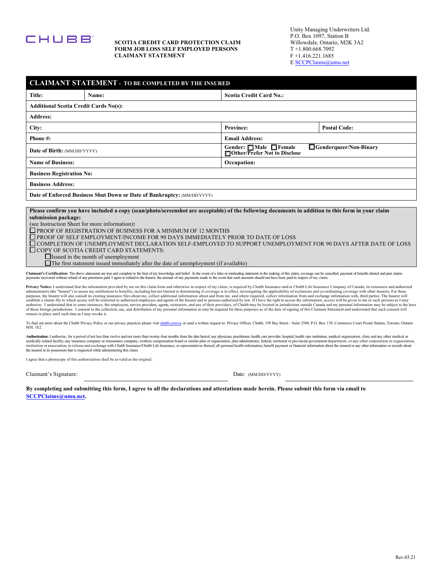

#### **SCOTIA CREDIT CARD PROTECTION CLAIM FORM JOB LOSS SELF EMPLOYED PERSONS CLAIMANT STATEMENT**

Unity Managing Underwriters Ltd. P.O. Box 1097, Station B Willowdale, Ontario, M2K 3A2 T +1.800.668.7092 F +1.416.221.1685 E [SCCPClaims@umu.net](mailto:SCCPClaims@umu.net) 

| <b>CLAIMANT STATEMENT - TO BE COMPLETED BY THE INSURED</b>                                                                                                                                                                                                                                                                                                                                                                                                                                                                                                                                                                                                                                                                                                                                                                                                                                                                                                                                                                                                                                                                                                                                                                                                                                                                                                                                                                                                      |                                                                         |                                                                                          |                     |  |  |  |
|-----------------------------------------------------------------------------------------------------------------------------------------------------------------------------------------------------------------------------------------------------------------------------------------------------------------------------------------------------------------------------------------------------------------------------------------------------------------------------------------------------------------------------------------------------------------------------------------------------------------------------------------------------------------------------------------------------------------------------------------------------------------------------------------------------------------------------------------------------------------------------------------------------------------------------------------------------------------------------------------------------------------------------------------------------------------------------------------------------------------------------------------------------------------------------------------------------------------------------------------------------------------------------------------------------------------------------------------------------------------------------------------------------------------------------------------------------------------|-------------------------------------------------------------------------|------------------------------------------------------------------------------------------|---------------------|--|--|--|
| Title:                                                                                                                                                                                                                                                                                                                                                                                                                                                                                                                                                                                                                                                                                                                                                                                                                                                                                                                                                                                                                                                                                                                                                                                                                                                                                                                                                                                                                                                          | Name:                                                                   | <b>Scotia Credit Card No.:</b>                                                           |                     |  |  |  |
| <b>Additional Scotia Credit Cards No(s):</b>                                                                                                                                                                                                                                                                                                                                                                                                                                                                                                                                                                                                                                                                                                                                                                                                                                                                                                                                                                                                                                                                                                                                                                                                                                                                                                                                                                                                                    |                                                                         |                                                                                          |                     |  |  |  |
| <b>Address:</b>                                                                                                                                                                                                                                                                                                                                                                                                                                                                                                                                                                                                                                                                                                                                                                                                                                                                                                                                                                                                                                                                                                                                                                                                                                                                                                                                                                                                                                                 |                                                                         |                                                                                          |                     |  |  |  |
| City:                                                                                                                                                                                                                                                                                                                                                                                                                                                                                                                                                                                                                                                                                                                                                                                                                                                                                                                                                                                                                                                                                                                                                                                                                                                                                                                                                                                                                                                           |                                                                         | <b>Province:</b>                                                                         | <b>Postal Code:</b> |  |  |  |
| Phone #:                                                                                                                                                                                                                                                                                                                                                                                                                                                                                                                                                                                                                                                                                                                                                                                                                                                                                                                                                                                                                                                                                                                                                                                                                                                                                                                                                                                                                                                        |                                                                         | <b>Email Address:</b>                                                                    |                     |  |  |  |
| <b>Date of Birth:</b> (MM/DD/YYYY)                                                                                                                                                                                                                                                                                                                                                                                                                                                                                                                                                                                                                                                                                                                                                                                                                                                                                                                                                                                                                                                                                                                                                                                                                                                                                                                                                                                                                              |                                                                         | Genderqueer/Non-Binary<br>Gender: □ Male □ Female<br>$\Box$ Other/Prefer Not to Disclose |                     |  |  |  |
| <b>Name of Business:</b>                                                                                                                                                                                                                                                                                                                                                                                                                                                                                                                                                                                                                                                                                                                                                                                                                                                                                                                                                                                                                                                                                                                                                                                                                                                                                                                                                                                                                                        |                                                                         | Occupation:                                                                              |                     |  |  |  |
| <b>Business Registration No:</b>                                                                                                                                                                                                                                                                                                                                                                                                                                                                                                                                                                                                                                                                                                                                                                                                                                                                                                                                                                                                                                                                                                                                                                                                                                                                                                                                                                                                                                |                                                                         |                                                                                          |                     |  |  |  |
| <b>Business Address:</b>                                                                                                                                                                                                                                                                                                                                                                                                                                                                                                                                                                                                                                                                                                                                                                                                                                                                                                                                                                                                                                                                                                                                                                                                                                                                                                                                                                                                                                        |                                                                         |                                                                                          |                     |  |  |  |
|                                                                                                                                                                                                                                                                                                                                                                                                                                                                                                                                                                                                                                                                                                                                                                                                                                                                                                                                                                                                                                                                                                                                                                                                                                                                                                                                                                                                                                                                 | Date of Enforced Business Shut Down or Date of Bankruptcy: (MM/DD/YYYY) |                                                                                          |                     |  |  |  |
| (see Instruction Sheet for more information):<br>$\square$ PROOF OF REGISTRATION OF BUSINESS FOR A MINIMUM OF 12 MONTHS<br>$\square$ PROOF OF SELF EMPLOYMENT/INCOME FOR 90 DAYS IMMEDIATELY PRIOR TO DATE OF LOSS<br>□ COMPLETION OF UNEMPLOYMENT DECLARATION SELF-EMPLOYED TO SUPPORT UNEMPLOYMENT FOR 90 DAYS AFTER DATE OF LOSS<br>$\Box$ COPY OF SCOTIA CREDIT CARD STATEMENTS:<br>$\Box$ Issued in the month of unemployment<br>The first statement issued immediately after the date of unemployment (if available)                                                                                                                                                                                                                                                                                                                                                                                                                                                                                                                                                                                                                                                                                                                                                                                                                                                                                                                                      |                                                                         |                                                                                          |                     |  |  |  |
| Claimant's Certification: The above statements are true and complete to the best of my knowledge and belief. In the event of a false or misleading statement in the making of this claim, coverage can be cancelled, payment o<br>payments recovered without refund of any premiums paid. I agree to refund to the Insurer, the amount of any payments made in the event that such amounts should not have been paid in respect of my claim.                                                                                                                                                                                                                                                                                                                                                                                                                                                                                                                                                                                                                                                                                                                                                                                                                                                                                                                                                                                                                    |                                                                         |                                                                                          |                     |  |  |  |
| Privacy Notice: I understand that the information provided by me on this claim form and otherwise in respect of my claim, is required by Chubb Insurance and/or Chubb Life Insurance Company of Canada, its reinsurers and aut<br>administrators (the "Insurer") to assess my entitlement to benefits, including but not limited to determining if coverage is in effect, investigating the applicability of exclusions and co-ordinating coverage with other in<br>purposes, the Insurer will also consult its existing insurance files about me, collect additional information about and from me, and where required, collect information from and exchange information with, third parties. Th<br>establish a claims file to which access will be restricted to authorized employees and agents of the Insurer and to persons authorized by law. If I have the right to access the information, access will be given to me or su<br>authorize. I understand that in some instances, the employees, service providers, agents, reinsurers, and any of their providers, of Chubb may be located in jurisdictions outside Canada and my personal information may be s<br>of those foreign jurisdictions. I consent to the collection, use, and distribution of my personal information as may be required for these purposes as of the date of signing of this Claimant Statement and understand that s<br>remain in place until such time as I may revoke it. |                                                                         |                                                                                          |                     |  |  |  |
| To find out more about the Chubb Privacy Policy or our privacy practices please visit chubb.com/ca or send a written request to: Privacy Officer, Chubb, 199 Bay Street - Suite 2500, P.O. Box 139, Commerce Court Postal Stat<br>M5L 1E2.                                                                                                                                                                                                                                                                                                                                                                                                                                                                                                                                                                                                                                                                                                                                                                                                                                                                                                                                                                                                                                                                                                                                                                                                                      |                                                                         |                                                                                          |                     |  |  |  |
| Authorization: I authorize, for a period of not less than twelve and not more than twenty-four months from the date hereof, any physician, practitioner, health care provider, hospital, health care institution, medical orga<br>medically related facility, any insurance company or reinsurance company, workers compensation board or similar plan or organization, plan administrator, federal, territorial or provincial government department, or any oth<br>institution or association, to release and exchange with Chubb Insurance/Chubb Life Insurance, or representatives thereof, all personal health information, benefit payment or financial information about the insured or any<br>the insured in its possession that is requested while administering this claim.                                                                                                                                                                                                                                                                                                                                                                                                                                                                                                                                                                                                                                                                            |                                                                         |                                                                                          |                     |  |  |  |
| I agree that a photocopy of this authorization shall be as valid as the original.                                                                                                                                                                                                                                                                                                                                                                                                                                                                                                                                                                                                                                                                                                                                                                                                                                                                                                                                                                                                                                                                                                                                                                                                                                                                                                                                                                               |                                                                         |                                                                                          |                     |  |  |  |

By completing and submitting this form, I agree to all the declarations and attestations made herein. Please submit this form via email to

Claimant's Signature: Date: (MM/DD/YYYY)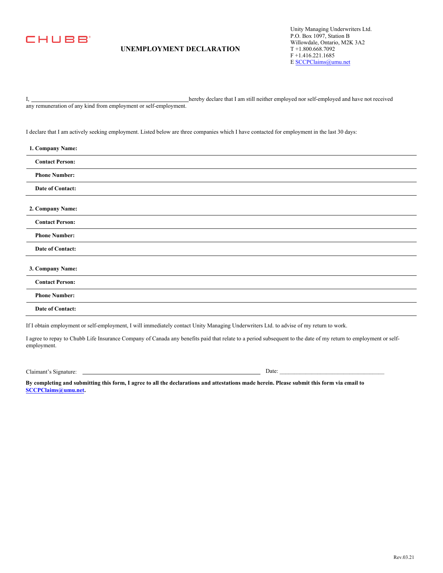

# **UNEMPLOYMENT DECLARATION**

Unity Managing Underwriters Ltd. P.O. Box 1097, Station B Willowdale, Ontario, M2K 3A2 T +1.800.668.7092 F +1.416.221.1685 E [SCCPClaims@umu.net](mailto:SCCPClaims@umu.net) 

I, hereby declare that I am still neither employed nor self-employed and have not received

any remuneration of any kind from employment or self-employment.

I declare that I am actively seeking employment. Listed below are three companies which I have contacted for employment in the last 30 days:

| 1. Company Name:                                                                                                                       |
|----------------------------------------------------------------------------------------------------------------------------------------|
| <b>Contact Person:</b>                                                                                                                 |
| <b>Phone Number:</b>                                                                                                                   |
| Date of Contact:                                                                                                                       |
| 2. Company Name:                                                                                                                       |
| <b>Contact Person:</b>                                                                                                                 |
| <b>Phone Number:</b>                                                                                                                   |
| Date of Contact:                                                                                                                       |
| 3. Company Name:                                                                                                                       |
| <b>Contact Person:</b>                                                                                                                 |
| <b>Phone Number:</b>                                                                                                                   |
| Date of Contact:                                                                                                                       |
| If I obtain employment or self-employment, I will immediately contact Unity Managing Underwriters Ltd. to advise of my return to work. |

I agree to repay to Chubb Life Insurance Company of Canada any benefits paid that relate to a period subsequent to the date of my return to employment or selfemployment.

Claimant's Signature: Date: \_\_\_\_\_\_\_\_\_\_\_\_\_\_\_\_\_\_\_\_\_\_\_\_\_\_\_\_\_\_\_\_\_\_\_\_

**By completing and submitting this form, I agree to all the declarations and attestations made herein. Please submit this form via email to SCCPClaims@umu.net.**